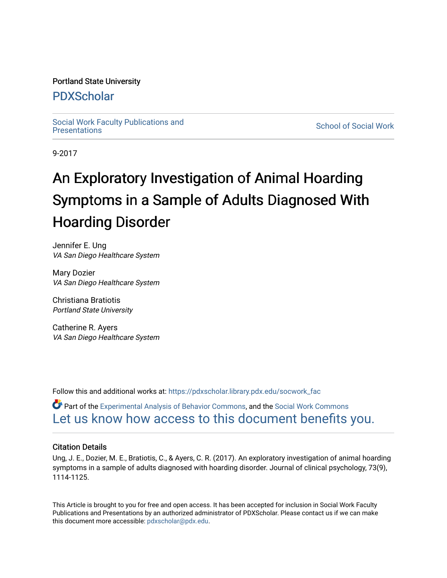## Portland State University

## [PDXScholar](https://pdxscholar.library.pdx.edu/)

Social Work Faculty Publications and<br>Presentations

**School of Social Work** 

9-2017

# An Exploratory Investigation of Animal Hoarding Symptoms in a Sample of Adults Diagnosed With Hoarding Disorder

Jennifer E. Ung VA San Diego Healthcare System

Mary Dozier VA San Diego Healthcare System

Christiana Bratiotis Portland State University

Catherine R. Ayers VA San Diego Healthcare System

Follow this and additional works at: [https://pdxscholar.library.pdx.edu/socwork\\_fac](https://pdxscholar.library.pdx.edu/socwork_fac?utm_source=pdxscholar.library.pdx.edu%2Fsocwork_fac%2F246&utm_medium=PDF&utm_campaign=PDFCoverPages) 

Part of the [Experimental Analysis of Behavior Commons,](http://network.bepress.com/hgg/discipline/1236?utm_source=pdxscholar.library.pdx.edu%2Fsocwork_fac%2F246&utm_medium=PDF&utm_campaign=PDFCoverPages) and the [Social Work Commons](http://network.bepress.com/hgg/discipline/713?utm_source=pdxscholar.library.pdx.edu%2Fsocwork_fac%2F246&utm_medium=PDF&utm_campaign=PDFCoverPages)  [Let us know how access to this document benefits you.](http://library.pdx.edu/services/pdxscholar-services/pdxscholar-feedback/?ref=https://pdxscholar.library.pdx.edu/socwork_fac/246) 

## Citation Details

Ung, J. E., Dozier, M. E., Bratiotis, C., & Ayers, C. R. (2017). An exploratory investigation of animal hoarding symptoms in a sample of adults diagnosed with hoarding disorder. Journal of clinical psychology, 73(9), 1114-1125.

This Article is brought to you for free and open access. It has been accepted for inclusion in Social Work Faculty Publications and Presentations by an authorized administrator of PDXScholar. Please contact us if we can make this document more accessible: [pdxscholar@pdx.edu.](mailto:pdxscholar@pdx.edu)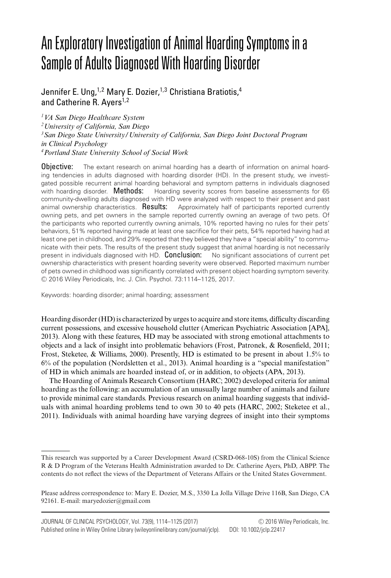## An Exploratory Investigation of Animal Hoarding Symptoms in a Sample of Adults Diagnosed With Hoarding Disorder

## Jennifer E. Ung,<sup>1,2</sup> Mary E. Dozier,<sup>1,3</sup> Christiana Bratiotis.<sup>4</sup> and Catherine R. Ayers<sup>1,2</sup>

*1VA San Diego Healthcare System*

*2University of California, San Diego*

*3San Diego State University/University of California, San Diego Joint Doctoral Program in Clinical Psychology*

*4Portland State University School of Social Work*

**Objective:** The extant research on animal hoarding has a dearth of information on animal hoarding tendencies in adults diagnosed with hoarding disorder (HD). In the present study, we investigated possible recurrent animal hoarding behavioral and symptom patterns in individuals diagnosed with hoarding disorder. **Methods:** Hoarding severity scores from baseline assessments for 65 community-dwelling adults diagnosed with HD were analyzed with respect to their present and past animal ownership characteristics. **Results:** Approximately half of participants reported currently owning pets, and pet owners in the sample reported currently owning an average of two pets. Of the participants who reported currently owning animals, 10% reported having no rules for their pets' behaviors, 51% reported having made at least one sacrifice for their pets, 54% reported having had at least one pet in childhood, and 29% reported that they believed they have a "special ability" to communicate with their pets. The results of the present study suggest that animal hoarding is not necessarily present in individuals diagnosed with HD. Conclusion: No significant associations of current pet ownership characteristics with present hoarding severity were observed. Reported maximum number of pets owned in childhood was significantly correlated with present object hoarding symptom severity. -<sup>C</sup> 2016 Wiley Periodicals, Inc. J. Clin. Psychol. 73:1114–1125, 2017.

Keywords: hoarding disorder; animal hoarding; assessment

Hoarding disorder (HD) is characterized by urges to acquire and store items, difficulty discarding current possessions, and excessive household clutter (American Psychiatric Association [APA], 2013). Along with these features, HD may be associated with strong emotional attachments to objects and a lack of insight into problematic behaviors (Frost, Patronek, & Rosenfield, 2011; Frost, Steketee, & Williams, 2000). Presently, HD is estimated to be present in about 1.5% to 6% of the population (Nordsletten et al., 2013). Animal hoarding is a "special manifestation" of HD in which animals are hoarded instead of, or in addition, to objects (APA, 2013).

The Hoarding of Animals Research Consortium (HARC; 2002) developed criteria for animal hoarding as the following: an accumulation of an unusually large number of animals and failure to provide minimal care standards. Previous research on animal hoarding suggests that individuals with animal hoarding problems tend to own 30 to 40 pets (HARC, 2002; Steketee et al., 2011). Individuals with animal hoarding have varying degrees of insight into their symptoms

This research was supported by a Career Development Award (CSRD-068-10S) from the Clinical Science R & D Program of the Veterans Health Administration awarded to Dr. Catherine Ayers, PhD, ABPP. The contents do not reflect the views of the Department of Veterans Affairs or the United States Government.

Please address correspondence to: Mary E. Dozier, M.S., 3350 La Jolla Village Drive 116B, San Diego, CA 92161. E-mail: maryedozier@gmail.com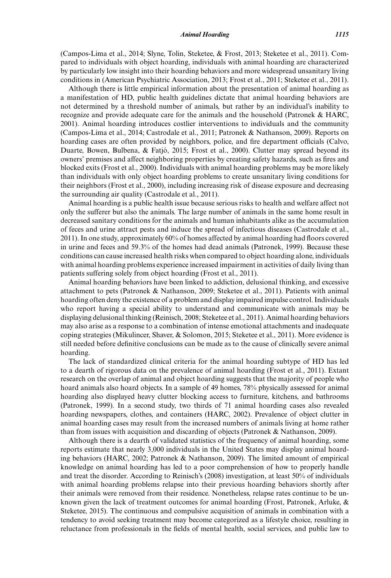#### *Animal Hoarding 1115*

(Campos-Lima et al., 2014; Slyne, Tolin, Steketee, & Frost, 2013; Steketee et al., 2011). Compared to individuals with object hoarding, individuals with animal hoarding are characterized by particularly low insight into their hoarding behaviors and more widespread unsanitary living conditions in (American Psychiatric Association, 2013; Frost et al., 2011; Steketee et al., 2011).

Although there is little empirical information about the presentation of animal hoarding as a manifestation of HD, public health guidelines dictate that animal hoarding behaviors are not determined by a threshold number of animals, but rather by an individual's inability to recognize and provide adequate care for the animals and the household (Patronek & HARC, 2001). Animal hoarding introduces costlier interventions to individuals and the community (Campos-Lima et al., 2014; Castrodale et al., 2011; Patronek & Nathanson, 2009). Reports on hoarding cases are often provided by neighbors, police, and fire department officials (Calvo, Duarte, Bowen, Bulbena, & Fatjo, 2015; Frost et al., 2000). Clutter may spread beyond its ´ owners' premises and affect neighboring properties by creating safety hazards, such as fires and blocked exits (Frost et al., 2000). Individuals with animal hoarding problems may be more likely than individuals with only object hoarding problems to create unsanitary living conditions for their neighbors (Frost et al., 2000), including increasing risk of disease exposure and decreasing the surrounding air quality (Castrodale et al., 2011).

Animal hoarding is a public health issue because serious risks to health and welfare affect not only the sufferer but also the animals. The large number of animals in the same home result in decreased sanitary conditions for the animals and human inhabitants alike as the accumulation of feces and urine attract pests and induce the spread of infectious diseases (Castrodale et al., 2011). In one study, approximately 60% of homes affected by animal hoarding had floors covered in urine and feces and 59.3% of the homes had dead animals (Patronek, 1999). Because these conditions can cause increased health risks when compared to object hoarding alone, individuals with animal hoarding problems experience increased impairment in activities of daily living than patients suffering solely from object hoarding (Frost et al., 2011).

Animal hoarding behaviors have been linked to addiction, delusional thinking, and excessive attachment to pets (Patronek & Nathanson, 2009; Steketee et al., 2011). Patients with animal hoarding often deny the existence of a problem and display impaired impulse control. Individuals who report having a special ability to understand and communicate with animals may be displaying delusional thinking (Reinisch, 2008; Steketee et al., 2011). Animal hoarding behaviors may also arise as a response to a combination of intense emotional attachments and inadequate coping strategies (Mikulincer, Shaver, & Solomon, 2015; Steketee et al., 2011). More evidence is still needed before definitive conclusions can be made as to the cause of clinically severe animal hoarding.

The lack of standardized clinical criteria for the animal hoarding subtype of HD has led to a dearth of rigorous data on the prevalence of animal hoarding (Frost et al., 2011). Extant research on the overlap of animal and object hoarding suggests that the majority of people who hoard animals also hoard objects. In a sample of 49 homes, 78% physically assessed for animal hoarding also displayed heavy clutter blocking access to furniture, kitchens, and bathrooms (Patronek, 1999). In a second study, two thirds of 71 animal hoarding cases also revealed hoarding newspapers, clothes, and containers (HARC, 2002). Prevalence of object clutter in animal hoarding cases may result from the increased numbers of animals living at home rather than from issues with acquisition and discarding of objects (Patronek & Nathanson, 2009).

Although there is a dearth of validated statistics of the frequency of animal hoarding, some reports estimate that nearly 3,000 individuals in the United States may display animal hoarding behaviors (HARC, 2002; Patronek & Nathanson, 2009). The limited amount of empirical knowledge on animal hoarding has led to a poor comprehension of how to properly handle and treat the disorder. According to Reinisch's (2008) investigation, at least 50% of individuals with animal hoarding problems relapse into their previous hoarding behaviors shortly after their animals were removed from their residence. Nonetheless, relapse rates continue to be unknown given the lack of treatment outcomes for animal hoarding (Frost, Patronek, Arluke, & Steketee, 2015). The continuous and compulsive acquisition of animals in combination with a tendency to avoid seeking treatment may become categorized as a lifestyle choice, resulting in reluctance from professionals in the fields of mental health, social services, and public law to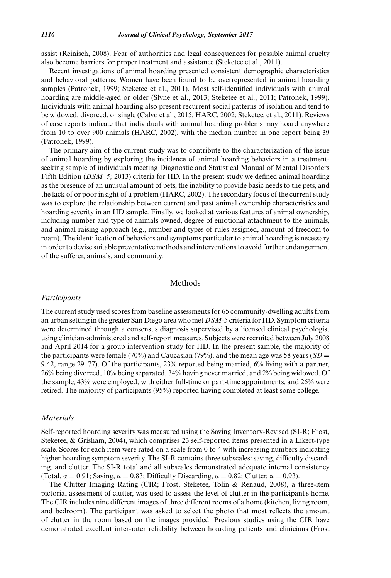assist (Reinisch, 2008). Fear of authorities and legal consequences for possible animal cruelty also become barriers for proper treatment and assistance (Steketee et al., 2011).

Recent investigations of animal hoarding presented consistent demographic characteristics and behavioral patterns. Women have been found to be overrepresented in animal hoarding samples (Patronek, 1999; Steketee et al., 2011). Most self-identified individuals with animal hoarding are middle-aged or older (Slyne et al., 2013; Steketee et al., 2011; Patronek, 1999). Individuals with animal hoarding also present recurrent social patterns of isolation and tend to be widowed, divorced, or single (Calvo et al., 2015; HARC, 2002; Steketee, et al., 2011). Reviews of case reports indicate that individuals with animal hoarding problems may hoard anywhere from 10 to over 900 animals (HARC, 2002), with the median number in one report being 39 (Patronek, 1999).

The primary aim of the current study was to contribute to the characterization of the issue of animal hoarding by exploring the incidence of animal hoarding behaviors in a treatmentseeking sample of individuals meeting Diagnostic and Statistical Manual of Mental Disorders Fifth Edition (*DSM–5*; 2013) criteria for HD. In the present study we defined animal hoarding as the presence of an unusual amount of pets, the inability to provide basic needs to the pets, and the lack of or poor insight of a problem (HARC, 2002). The secondary focus of the current study was to explore the relationship between current and past animal ownership characteristics and hoarding severity in an HD sample. Finally, we looked at various features of animal ownership, including number and type of animals owned, degree of emotional attachment to the animals, and animal raising approach (e.g., number and types of rules assigned, amount of freedom to roam). The identification of behaviors and symptoms particular to animal hoarding is necessary in order to devise suitable preventative methods and interventions to avoid further endangerment of the sufferer, animals, and community.

#### Methods

#### *Participants*

The current study used scores from baseline assessments for 65 community-dwelling adults from an urban setting in the greater San Diego area who met *DSM-5* criteria for HD. Symptom criteria were determined through a consensus diagnosis supervised by a licensed clinical psychologist using clinician-administered and self-report measures. Subjects were recruited between July 2008 and April 2014 for a group intervention study for HD. In the present sample, the majority of the participants were female (70%) and Caucasian (79%), and the mean age was 58 years ( $SD =$ 9.42, range 29–77). Of the participants, 23% reported being married, 6% living with a partner, 26% being divorced, 10% being separated, 34% having never married, and 2% being widowed. Of the sample, 43% were employed, with either full-time or part-time appointments, and 26% were retired. The majority of participants (95%) reported having completed at least some college.

#### *Materials*

Self-reported hoarding severity was measured using the Saving Inventory-Revised (SI-R; Frost, Steketee, & Grisham, 2004), which comprises 23 self-reported items presented in a Likert-type scale. Scores for each item were rated on a scale from 0 to 4 with increasing numbers indicating higher hoarding symptom severity. The SI-R contains three subscales: saving, difficulty discarding, and clutter. The SI-R total and all subscales demonstrated adequate internal consistency (Total,  $\alpha = 0.91$ ; Saving,  $\alpha = 0.83$ ; Difficulty Discarding,  $\alpha = 0.82$ ; Clutter,  $\alpha = 0.93$ ).

The Clutter Imaging Rating (CIR; Frost, Steketee, Tolin & Renaud, 2008), a three-item pictorial assessment of clutter, was used to assess the level of clutter in the participant's home. The CIR includes nine different images of three different rooms of a home (kitchen, living room, and bedroom). The participant was asked to select the photo that most reflects the amount of clutter in the room based on the images provided. Previous studies using the CIR have demonstrated excellent inter-rater reliability between hoarding patients and clinicians (Frost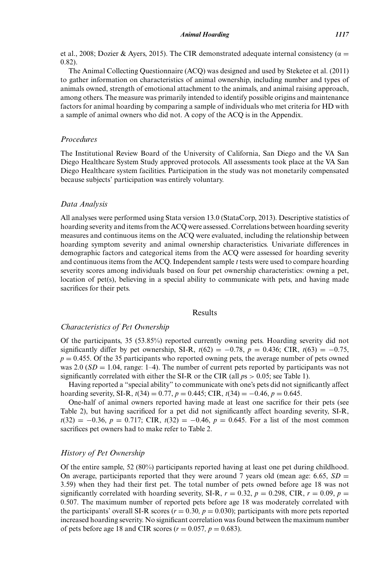#### *Animal Hoarding 1117*

et al., 2008; Dozier & Ayers, 2015). The CIR demonstrated adequate internal consistency ( $\alpha =$ 0.82).

The Animal Collecting Questionnaire (ACQ) was designed and used by Steketee et al. (2011) to gather information on characteristics of animal ownership, including number and types of animals owned, strength of emotional attachment to the animals, and animal raising approach, among others. The measure was primarily intended to identify possible origins and maintenance factors for animal hoarding by comparing a sample of individuals who met criteria for HD with a sample of animal owners who did not. A copy of the ACQ is in the Appendix.

#### *Procedures*

The Institutional Review Board of the University of California, San Diego and the VA San Diego Healthcare System Study approved protocols. All assessments took place at the VA San Diego Healthcare system facilities. Participation in the study was not monetarily compensated because subjects' participation was entirely voluntary.

#### *Data Analysis*

All analyses were performed using Stata version 13.0 (StataCorp, 2013). Descriptive statistics of hoarding severity and items from the ACQ were assessed. Correlations between hoarding severity measures and continuous items on the ACQ were evaluated, including the relationship between hoarding symptom severity and animal ownership characteristics. Univariate differences in demographic factors and categorical items from the ACQ were assessed for hoarding severity and continuous items from the ACQ. Independent sample *t* tests were used to compare hoarding severity scores among individuals based on four pet ownership characteristics: owning a pet, location of pet(s), believing in a special ability to communicate with pets, and having made sacrifices for their pets.

#### Results

#### *Characteristics of Pet Ownership*

Of the participants, 35 (53.85%) reported currently owning pets. Hoarding severity did not significantly differ by pet ownership, SI-R,  $t(62) = -0.78$ ,  $p = 0.436$ ; CIR,  $t(63) = -0.75$ ,  $p = 0.455$ . Of the 35 participants who reported owning pets, the average number of pets owned was 2.0 ( $SD = 1.04$ , range: 1–4). The number of current pets reported by participants was not significantly correlated with either the SI-R or the CIR (all *p*s *>* 0.05; see Table 1).

Having reported a "special ability" to communicate with one's pets did not significantly affect hoarding severity, SI-R,  $t(34) = 0.77$ ,  $p = 0.445$ ; CIR,  $t(34) = -0.46$ ,  $p = 0.645$ .

One-half of animal owners reported having made at least one sacrifice for their pets (see Table 2), but having sacrificed for a pet did not significantly affect hoarding severity, SI-R, *t*(32) = −0.36, *p* = 0.717; CIR, *t*(32) = −0.46, *p* = 0.645. For a list of the most common sacrifices pet owners had to make refer to Table 2.

#### *History of Pet Ownership*

Of the entire sample, 52 (80%) participants reported having at least one pet during childhood. On average, participants reported that they were around 7 years old (mean age: 6.65,  $SD =$ 3.59) when they had their first pet. The total number of pets owned before age 18 was not significantly correlated with hoarding severity, SI-R,  $r = 0.32$ ,  $p = 0.298$ , CIR,  $r = 0.09$ ,  $p =$ 0.507. The maximum number of reported pets before age 18 was moderately correlated with the participants' overall SI-R scores ( $r = 0.30$ ,  $p = 0.030$ ); participants with more pets reported increased hoarding severity. No significant correlation was found between the maximum number of pets before age 18 and CIR scores ( $r = 0.057$ ,  $p = 0.683$ ).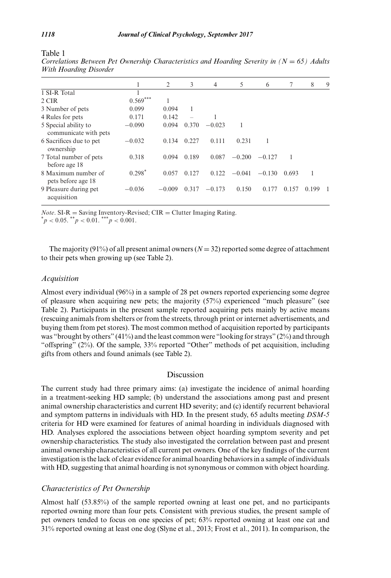|                                               |            | 2        | 3     | 4        | 5        | 6        | 7     | 8     | 9 |
|-----------------------------------------------|------------|----------|-------|----------|----------|----------|-------|-------|---|
| 1 SI-R Total                                  |            |          |       |          |          |          |       |       |   |
| 2 CIR                                         | $0.569***$ |          |       |          |          |          |       |       |   |
| 3 Number of pets                              | 0.099      | 0.094    | 1     |          |          |          |       |       |   |
| 4 Rules for pets                              | 0.171      | 0.142    |       |          |          |          |       |       |   |
| 5 Special ability to<br>communicate with pets | $-0.090$   | 0.094    | 0.370 | $-0.023$ |          |          |       |       |   |
| 6 Sacrifices due to pet<br>ownership          | $-0.032$   | 0.134    | 0.227 | 0.111    | 0.231    |          |       |       |   |
| 7 Total number of pets<br>before age 18       | 0.318      | 0.094    | 0.189 | 0.087    | $-0.200$ | $-0.127$ |       |       |   |
| 8 Maximum number of<br>pets before age 18     | $0.298*$   | 0.057    | 0.127 | 0.122    | $-0.041$ | $-0.130$ | 0.693 |       |   |
| 9 Pleasure during pet<br>acquisition          | $-0.036$   | $-0.009$ | 0.317 | $-0.173$ | 0.150    | 0.177    | 0.157 | 0.199 |   |

*Correlations Between Pet Ownership Characteristics and Hoarding Severity in (N = 65) Adults With Hoarding Disorder*

*Note*. SI-R = Saving Inventory-Revised; CIR = Clutter Imaging Rating.  $*p < 0.05$ .  $*^*p < 0.01$ .  $*^*p < 0.001$ .

The majority (91%) of all present animal owners ( $N = 32$ ) reported some degree of attachment to their pets when growing up (see Table 2).

#### *Acquisition*

Almost every individual (96%) in a sample of 28 pet owners reported experiencing some degree of pleasure when acquiring new pets; the majority (57%) experienced "much pleasure" (see Table 2). Participants in the present sample reported acquiring pets mainly by active means (rescuing animals from shelters or from the streets, through print or internet advertisements, and buying them from pet stores). The most common method of acquisition reported by participants was "brought by others" (41%) and the least common were "looking for strays" (2%) and through "offspring" (2%). Of the sample, 33% reported "Other" methods of pet acquisition, including gifts from others and found animals (see Table 2).

#### Discussion

The current study had three primary aims: (a) investigate the incidence of animal hoarding in a treatment-seeking HD sample; (b) understand the associations among past and present animal ownership characteristics and current HD severity; and (c) identify recurrent behavioral and symptom patterns in individuals with HD. In the present study, 65 adults meeting *DSM-5* criteria for HD were examined for features of animal hoarding in individuals diagnosed with HD. Analyses explored the associations between object hoarding symptom severity and pet ownership characteristics. The study also investigated the correlation between past and present animal ownership characteristics of all current pet owners. One of the key findings of the current investigation is the lack of clear evidence for animal hoarding behaviors in a sample of individuals with HD, suggesting that animal hoarding is not synonymous or common with object hoarding.

#### *Characteristics of Pet Ownership*

Almost half (53.85%) of the sample reported owning at least one pet, and no participants reported owning more than four pets. Consistent with previous studies, the present sample of pet owners tended to focus on one species of pet; 63% reported owning at least one cat and 31% reported owning at least one dog (Slyne et al., 2013; Frost et al., 2011). In comparison, the

Table 1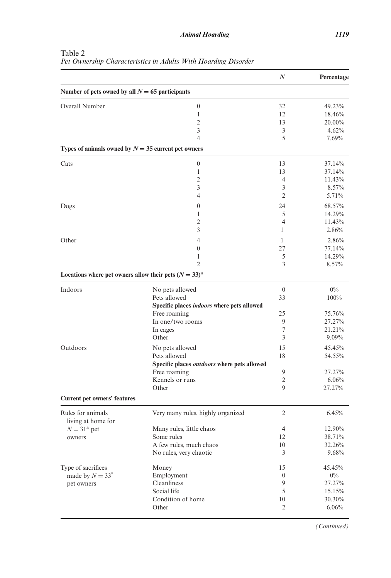|                                                            |                                             | $\boldsymbol{N}$    | Percentage      |
|------------------------------------------------------------|---------------------------------------------|---------------------|-----------------|
| Number of pets owned by all $N = 65$ participants          |                                             |                     |                 |
| Overall Number                                             | $\boldsymbol{0}$                            | 32                  | 49.23%          |
|                                                            | 1                                           | 12                  | 18.46%          |
|                                                            | $\overline{c}$                              | 13                  | 20.00%          |
|                                                            | 3                                           | 3                   | 4.62%           |
|                                                            | 4                                           | 5                   | 7.69%           |
| Types of animals owned by $N = 35$ current pet owners      |                                             |                     |                 |
| Cats                                                       | $\boldsymbol{0}$                            | 13                  | 37.14%          |
|                                                            | 1                                           | 13                  | 37.14%          |
|                                                            | $\overline{c}$                              | $\overline{4}$      | 11.43%          |
|                                                            | 3                                           | 3                   | 8.57%           |
|                                                            | 4                                           | $\overline{2}$      | 5.71%           |
| Dogs                                                       | $\boldsymbol{0}$                            | 24                  | 68.57%          |
|                                                            | 1                                           | 5                   | 14.29%          |
|                                                            | $\overline{c}$                              | $\overline{4}$      | 11.43%          |
|                                                            | 3                                           | 1                   | 2.86%           |
| Other                                                      | 4                                           | 1                   | 2.86%           |
|                                                            | $\boldsymbol{0}$                            | 27                  | 77.14%          |
|                                                            | 1                                           | 5                   | 14.29%          |
|                                                            | $\overline{c}$                              | 3                   | 8.57%           |
| Locations where pet owners allow their pets $(N = 33)^{a}$ |                                             |                     |                 |
| Indoors                                                    | No pets allowed                             | $\boldsymbol{0}$    | $0\%$           |
|                                                            | Pets allowed                                | 33                  | 100%            |
|                                                            | Specific places indoors where pets allowed  |                     |                 |
|                                                            | Free roaming                                | 25                  | 75.76%          |
|                                                            | In one/two rooms                            | 9                   | 27.27%          |
|                                                            | In cages                                    | 7                   | 21.21%          |
|                                                            | Other                                       | 3                   | $9.09\%$        |
|                                                            |                                             |                     |                 |
| Outdoors                                                   | No pets allowed                             | 15                  | 45.45%          |
|                                                            | Pets allowed                                | 18                  | 54.55%          |
|                                                            | Specific places outdoors where pets allowed |                     |                 |
|                                                            | Free roaming                                | 9<br>$\overline{2}$ | 27.27%          |
|                                                            | Kennels or runs<br>Other                    | 9                   | 6.06%<br>27.27% |
| <b>Current pet owners' features</b>                        |                                             |                     |                 |
|                                                            |                                             |                     |                 |
| Rules for animals<br>living at home for                    | Very many rules, highly organized           | $\overline{c}$      | 6.45%           |
| $N = 31a$ pet                                              | Many rules, little chaos                    | 4                   | 12.90%          |
| owners                                                     | Some rules                                  | 12                  | 38.71%          |
|                                                            | A few rules, much chaos                     | 10                  | 32.26%          |
|                                                            | No rules, very chaotic                      | 3                   | 9.68%           |
| Type of sacrifices                                         | Money                                       | 15                  | 45.45%          |
| made by $N = 33^*$                                         | Employment                                  | $\mathbf{0}$        | $0\%$           |
| pet owners                                                 | Cleanliness                                 | 9                   | 27.27%          |
|                                                            | Social life                                 | 5                   | 15.15%          |
|                                                            | Condition of home                           | 10                  | 30.30%          |
|                                                            | Other                                       | 2                   | 6.06%           |
|                                                            |                                             |                     |                 |

### Table 2 *Pet Ownership Characteristics in Adults With Hoarding Disorder*

*(Continued)*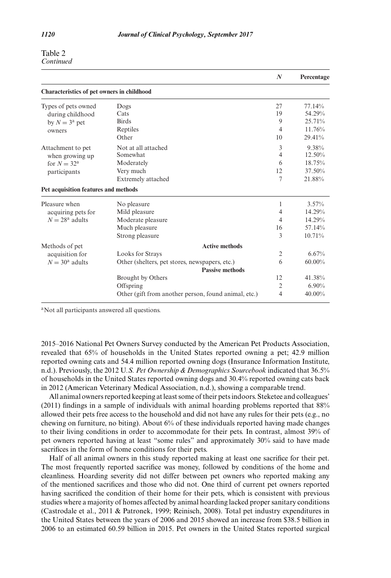| Table 2   |  |
|-----------|--|
| Continued |  |

|                                            |                                                      | N              | Percentage |
|--------------------------------------------|------------------------------------------------------|----------------|------------|
| Characteristics of pet owners in childhood |                                                      |                |            |
| Types of pets owned                        | Dogs                                                 | 27             | 77.14%     |
| during childhood                           | Cats                                                 | 19             | 54.29%     |
| by $N = 3^a$ pet                           | <b>Birds</b>                                         | 9              | 25.71%     |
| owners                                     | Reptiles                                             | $\overline{4}$ | 11.76%     |
|                                            | Other                                                | 10             | 29.41%     |
| Attachment to pet                          | Not at all attached                                  | 3              | 9.38%      |
| when growing up                            | Somewhat                                             | $\overline{4}$ | 12.50%     |
| for $N = 32^a$                             | Moderately                                           | 6              | 18.75%     |
| participants                               | Very much                                            | 12             | 37.50%     |
|                                            | Extremely attached                                   | 7              | 21.88%     |
| Pet acquisition features and methods       |                                                      |                |            |
| Pleasure when                              | No pleasure                                          | 1              | 3.57%      |
| acquiring pets for                         | Mild pleasure                                        | 4              | 14.29%     |
| $N = 28^{\circ}$ adults                    | Moderate pleasure                                    | $\overline{4}$ | 14.29%     |
|                                            | Much pleasure                                        | 16             | 57.14%     |
|                                            | Strong pleasure                                      | $\mathcal{E}$  | 10.71%     |
| Methods of pet                             | <b>Active methods</b>                                |                |            |
| acquisition for                            | Looks for Strays                                     | $\overline{2}$ | 6.67%      |
| $N = 30^{\circ}$ adults                    | Other (shelters, pet stores, newspapers, etc.)       | 6              | $60.00\%$  |
|                                            | <b>Passive methods</b>                               |                |            |
|                                            | Brought by Others                                    | 12             | 41.38%     |
|                                            | Offspring                                            | $\overline{2}$ | $6.90\%$   |
|                                            | Other (gift from another person, found animal, etc.) | 4              | $40.00\%$  |

<sup>a</sup>Not all participants answered all questions.

2015–2016 National Pet Owners Survey conducted by the American Pet Products Association, revealed that 65% of households in the United States reported owning a pet; 42.9 million reported owning cats and 54.4 million reported owning dogs (Insurance Information Institute, n.d.). Previously, the 2012 U*.S. Pet Ownership & Demographics Sourcebook* indicated that 36.5% of households in the United States reported owning dogs and 30.4% reported owning cats back in 2012 (American Veterinary Medical Association, n.d.), showing a comparable trend.

All animal owners reported keeping at least some of their pets indoors. Steketee and colleagues' (2011) findings in a sample of individuals with animal hoarding problems reported that 88% allowed their pets free access to the household and did not have any rules for their pets (e.g., no chewing on furniture, no biting). About 6% of these individuals reported having made changes to their living conditions in order to accommodate for their pets. In contrast, almost 39% of pet owners reported having at least "some rules" and approximately 30% said to have made sacrifices in the form of home conditions for their pets.

Half of all animal owners in this study reported making at least one sacrifice for their pet. The most frequently reported sacrifice was money, followed by conditions of the home and cleanliness. Hoarding severity did not differ between pet owners who reported making any of the mentioned sacrifices and those who did not. One third of current pet owners reported having sacrificed the condition of their home for their pets, which is consistent with previous studies where a majority of homes affected by animal hoarding lacked proper sanitary conditions (Castrodale et al., 2011 & Patronek, 1999; Reinisch, 2008). Total pet industry expenditures in the United States between the years of 2006 and 2015 showed an increase from \$38.5 billion in 2006 to an estimated 60.59 billion in 2015. Pet owners in the United States reported surgical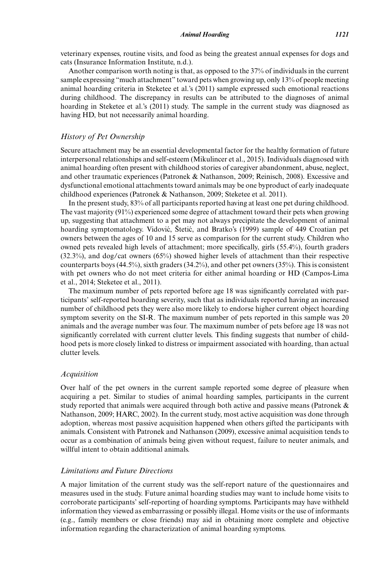veterinary expenses, routine visits, and food as being the greatest annual expenses for dogs and cats (Insurance Information Institute, n.d.).

Another comparison worth noting is that, as opposed to the 37% of individuals in the current sample expressing "much attachment" toward pets when growing up, only 13% of people meeting animal hoarding criteria in Steketee et al.'s (2011) sample expressed such emotional reactions during childhood. The discrepancy in results can be attributed to the diagnoses of animal hoarding in Steketee et al.'s (2011) study. The sample in the current study was diagnosed as having HD, but not necessarily animal hoarding.

#### *History of Pet Ownership*

Secure attachment may be an essential developmental factor for the healthy formation of future interpersonal relationships and self-esteem (Mikulincer et al., 2015). Individuals diagnosed with animal hoarding often present with childhood stories of caregiver abandonment, abuse, neglect, and other traumatic experiences (Patronek & Nathanson, 2009; Reinisch, 2008). Excessive and dysfunctional emotional attachments toward animals may be one byproduct of early inadequate childhood experiences (Patronek & Nathanson, 2009; Steketee et al. 2011).

In the present study, 83% of all participants reported having at least one pet during childhood. The vast majority (91%) experienced some degree of attachment toward their pets when growing up, suggesting that attachment to a pet may not always precipitate the development of animal hoarding symptomatology. Vidović, Štetić, and Bratko's (1999) sample of 449 Croatian pet owners between the ages of 10 and 15 serve as comparison for the current study. Children who owned pets revealed high levels of attachment; more specifically, girls (55.4%), fourth graders (32.3%), and dog/cat owners (65%) showed higher levels of attachment than their respective counterparts boys (44.5%), sixth graders (34.2%), and other pet owners (35%). This is consistent with pet owners who do not meet criteria for either animal hoarding or HD (Campos-Lima et al., 2014; Steketee et al., 2011).

The maximum number of pets reported before age 18 was significantly correlated with participants' self-reported hoarding severity, such that as individuals reported having an increased number of childhood pets they were also more likely to endorse higher current object hoarding symptom severity on the SI-R. The maximum number of pets reported in this sample was 20 animals and the average number was four. The maximum number of pets before age 18 was not significantly correlated with current clutter levels. This finding suggests that number of childhood pets is more closely linked to distress or impairment associated with hoarding, than actual clutter levels.

#### *Acquisition*

Over half of the pet owners in the current sample reported some degree of pleasure when acquiring a pet. Similar to studies of animal hoarding samples, participants in the current study reported that animals were acquired through both active and passive means (Patronek & Nathanson, 2009; HARC, 2002). In the current study, most active acquisition was done through adoption, whereas most passive acquisition happened when others gifted the participants with animals. Consistent with Patronek and Nathanson (2009), excessive animal acquisition tends to occur as a combination of animals being given without request, failure to neuter animals, and willful intent to obtain additional animals.

#### *Limitations and Future Directions*

A major limitation of the current study was the self-report nature of the questionnaires and measures used in the study. Future animal hoarding studies may want to include home visits to corroborate participants' self-reporting of hoarding symptoms. Participants may have withheld information they viewed as embarrassing or possibly illegal. Home visits or the use of informants (e.g., family members or close friends) may aid in obtaining more complete and objective information regarding the characterization of animal hoarding symptoms.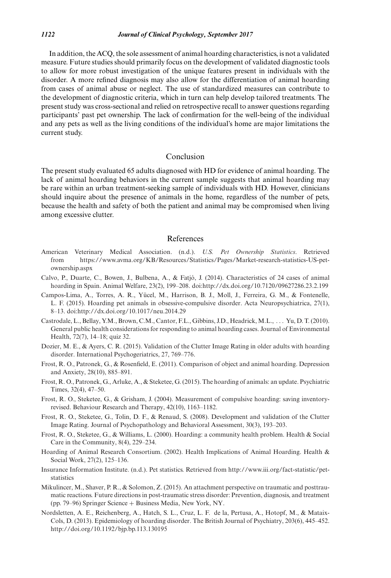#### *1122 Journal of Clinical Psychology, September 2017*

In addition, the ACQ, the sole assessment of animal hoarding characteristics, is not a validated measure. Future studies should primarily focus on the development of validated diagnostic tools to allow for more robust investigation of the unique features present in individuals with the disorder. A more refined diagnosis may also allow for the differentiation of animal hoarding from cases of animal abuse or neglect. The use of standardized measures can contribute to the development of diagnostic criteria, which in turn can help develop tailored treatments. The present study was cross-sectional and relied on retrospective recall to answer questions regarding participants' past pet ownership. The lack of confirmation for the well-being of the individual and any pets as well as the living conditions of the individual's home are major limitations the current study.

#### Conclusion

The present study evaluated 65 adults diagnosed with HD for evidence of animal hoarding. The lack of animal hoarding behaviors in the current sample suggests that animal hoarding may be rare within an urban treatment-seeking sample of individuals with HD. However, clinicians should inquire about the presence of animals in the home, regardless of the number of pets, because the health and safety of both the patient and animal may be compromised when living among excessive clutter.

#### References

- American Veterinary Medical Association. (n.d.). *U.S. Pet Ownership Statistics*. Retrieved from https://www.avma.org/KB/Resources/Statistics/Pages/Market-research-statistics-US-petownership.aspx
- Calvo, P., Duarte, C., Bowen, J., Bulbena, A., & Fatjo, J. (2014). Characteristics of 24 cases of animal ´ hoarding in Spain. Animal Welfare, 23(2), 199–208. doi:http://dx.doi.org/10.7120/09627286.23.2.199
- Campos-Lima, A., Torres, A. R., Yücel, M., Harrison, B. J., Moll, J., Ferreira, G. M., & Fontenelle, L. F. (2015). Hoarding pet animals in obsessive-compulsive disorder. Acta Neuropsychiatrica, 27(1), 8–13. doi:http://dx.doi.org/10.1017/neu.2014.29
- Castrodale, L., Bellay, Y.M., Brown, C.M., Cantor, F.L., Gibbins, J.D., Headrick,M.L., . . . Yu, D. T. (2010). General public health considerations for responding to animal hoarding cases. Journal of Environmental Health, 72(7), 14–18; quiz 32.
- Dozier, M. E., & Ayers, C. R. (2015). Validation of the Clutter Image Rating in older adults with hoarding disorder. International Psychogeriatrics, 27, 769–776.
- Frost, R. O., Patronek, G., & Rosenfield, E. (2011). Comparison of object and animal hoarding. Depression and Anxiety, 28(10), 885–891.
- Frost, R. O., Patronek, G., Arluke, A., & Steketee, G. (2015). The hoarding of animals: an update. Psychiatric Times, 32(4), 47–50.
- Frost, R. O., Steketee, G., & Grisham, J. (2004). Measurement of compulsive hoarding: saving inventoryrevised. Behaviour Research and Therapy, 42(10), 1163–1182.
- Frost, R. O., Steketee, G., Tolin, D. F., & Renaud, S. (2008). Development and validation of the Clutter Image Rating. Journal of Psychopathology and Behavioral Assessment, 30(3), 193–203.
- Frost, R. O., Steketee, G., & Williams, L. (2000). Hoarding: a community health problem. Health & Social Care in the Community, 8(4), 229–234.
- Hoarding of Animal Research Consortium. (2002). Health Implications of Animal Hoarding. Health & Social Work, 27(2), 125–136.
- Insurance Information Institute. (n.d.). Pet statistics. Retrieved from http://www.iii.org/fact-statistic/petstatistics
- Mikulincer, M., Shaver, P. R., & Solomon, Z. (2015). An attachment perspective on traumatic and posttraumatic reactions. Future directions in post-traumatic stress disorder: Prevention, diagnosis, and treatment (pp. 79–96) Springer Science + Business Media, New York, NY.
- Nordsletten, A. E., Reichenberg, A., Hatch, S. L., Cruz, L. F. de la, Pertusa, A., Hotopf, M., & Mataix-Cols, D. (2013). Epidemiology of hoarding disorder. The British Journal of Psychiatry, 203(6), 445–452. http://doi.org/10.1192/bjp.bp.113.130195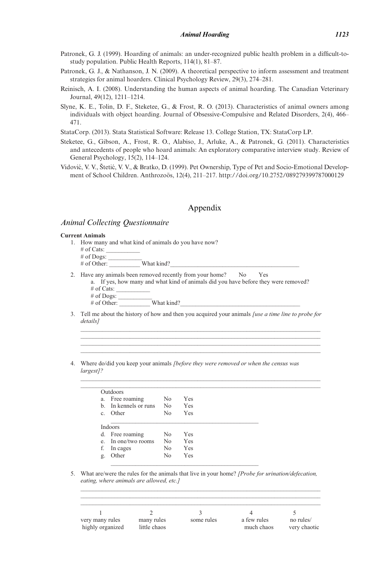- Patronek, G. J. (1999). Hoarding of animals: an under-recognized public health problem in a difficult-tostudy population. Public Health Reports, 114(1), 81–87.
- Patronek, G. J., & Nathanson, J. N. (2009). A theoretical perspective to inform assessment and treatment strategies for animal hoarders. Clinical Psychology Review, 29(3), 274–281.
- Reinisch, A. I. (2008). Understanding the human aspects of animal hoarding. The Canadian Veterinary Journal, 49(12), 1211–1214.
- Slyne, K. E., Tolin, D. F., Steketee, G., & Frost, R. O. (2013). Characteristics of animal owners among individuals with object hoarding. Journal of Obsessive-Compulsive and Related Disorders, 2(4), 466– 471.

StataCorp. (2013). Stata Statistical Software: Release 13. College Station, TX: StataCorp LP.

- Steketee, G., Gibson, A., Frost, R. O., Alabiso, J., Arluke, A., & Patronek, G. (2011). Characteristics and antecedents of people who hoard animals: An exploratory comparative interview study. Review of General Psychology, 15(2), 114–124.
- Vidović, V. V., Štetić, V. V., & Bratko, D. (1999). Pet Ownership, Type of Pet and Socio-Emotional Development of School Children. Anthrozoös, 12(4), 211–217. http://doi.org/10.2752/089279399787000129

#### Appendix

#### *Animal Collecting Questionnaire*

#### **Current Animals**

- 1. How many and what kind of animals do you have now?
	- # of Cats:
	- $#$  of Dogs:
	- # of Other: What kind?
- 2. Have any animals been removed recently from your home? No Yes

a. If yes, how many and what kind of animals did you have before they were removed? # of Cats:  $#$  of Dogs:

- # of Other: What kind?
- 3. Tell me about the history of how and then you acquired your animals *[use a time line to probe for details]*

*\_\_\_\_\_\_\_\_\_\_\_\_\_\_\_\_\_\_\_\_\_\_\_\_\_\_\_\_\_\_\_\_\_\_\_\_\_\_\_\_\_\_\_\_\_\_\_\_\_\_\_\_\_\_\_\_\_\_\_\_\_\_\_\_\_\_\_\_\_\_\_\_\_\_\_\_\_\_ \_\_\_\_\_\_\_\_\_\_\_\_\_\_\_\_\_\_\_\_\_\_\_\_\_\_\_\_\_\_\_\_\_\_\_\_\_\_\_\_\_\_\_\_\_\_\_\_\_\_\_\_\_\_\_\_\_\_\_\_\_\_\_\_\_\_\_\_\_\_\_\_\_\_\_\_\_\_* 

4. Where do/did you keep your animals *[before they were removed or when the census was largest]?*

| Outdoors                                          |                                  |            |  |
|---------------------------------------------------|----------------------------------|------------|--|
| a. Free roaming                                   | N <sub>0</sub>                   | Yes        |  |
| b. In kennels or runs                             | N <sub>o</sub>                   | Yes        |  |
| c. Other                                          | N <sub>0</sub>                   | Yes        |  |
|                                                   |                                  |            |  |
| Indoors<br>d. Free roaming<br>e. In one/two rooms | N <sub>0</sub><br>N <sub>0</sub> | Yes<br>Yes |  |

5. What are/were the rules for the animals that live in your home? *[Probe for urination/defecation, eating, where animals are allowed, etc.]* 

| a few rules<br>no rules/<br>much chaos<br>very chaotic |
|--------------------------------------------------------|
|                                                        |

 $\mathcal{L}_\mathcal{L} = \{ \mathcal{L}_\mathcal{L} = \{ \mathcal{L}_\mathcal{L} = \{ \mathcal{L}_\mathcal{L} = \{ \mathcal{L}_\mathcal{L} = \{ \mathcal{L}_\mathcal{L} = \{ \mathcal{L}_\mathcal{L} = \{ \mathcal{L}_\mathcal{L} = \{ \mathcal{L}_\mathcal{L} = \{ \mathcal{L}_\mathcal{L} = \{ \mathcal{L}_\mathcal{L} = \{ \mathcal{L}_\mathcal{L} = \{ \mathcal{L}_\mathcal{L} = \{ \mathcal{L}_\mathcal{L} = \{ \mathcal{L}_\mathcal{$ \_\_\_\_\_\_\_\_\_\_\_\_\_\_\_\_\_\_\_\_\_\_\_\_\_\_\_\_\_\_\_\_\_\_\_\_\_\_\_\_\_\_\_\_\_\_\_\_\_\_\_\_\_\_\_\_\_\_\_\_\_\_\_\_\_\_\_\_\_\_\_\_\_\_\_\_\_\_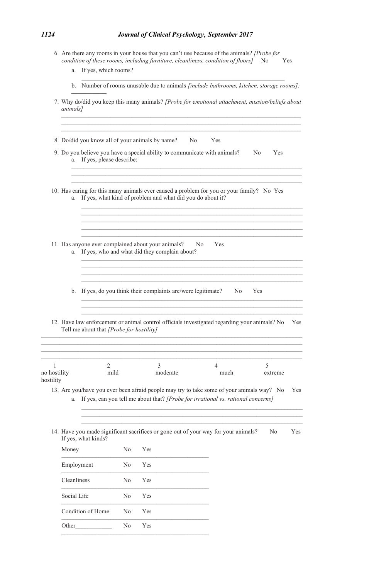## *1124 Journal of Clinical Psychology, September 2017*

|                                |             | 6. Are there any rooms in your house that you can't use because of the animals? [Probe for<br>condition of these rooms, including furniture, cleanliness, condition of floors] No                         |    |               |     |           |     | Yes     |     |
|--------------------------------|-------------|-----------------------------------------------------------------------------------------------------------------------------------------------------------------------------------------------------------|----|---------------|-----|-----------|-----|---------|-----|
|                                | a.          | If yes, which rooms?                                                                                                                                                                                      |    |               |     |           |     |         |     |
|                                |             | b. Number of rooms unusable due to animals <i>[include bathrooms, kitchen, storage rooms]</i> :                                                                                                           |    |               |     |           |     |         |     |
|                                | animals]    | 7. Why do/did you keep this many animals? [Probe for emotional attachment, mission/beliefs about                                                                                                          |    |               |     |           |     |         |     |
|                                |             |                                                                                                                                                                                                           |    |               |     |           |     |         |     |
|                                |             | 8. Do/did you know all of your animals by name?                                                                                                                                                           |    |               | No  | Yes       |     |         |     |
|                                |             | 9. Do you believe you have a special ability to communicate with animals?<br>a. If yes, please describe:                                                                                                  |    |               |     |           | No. | Yes     |     |
|                                |             | 10. Has caring for this many animals ever caused a problem for you or your family? No Yes<br>a. If yes, what kind of problem and what did you do about it?                                                |    |               |     |           |     |         |     |
|                                |             | 11. Has anyone ever complained about your animals?<br>a. If yes, who and what did they complain about?                                                                                                    |    |               | No. | Yes       |     |         |     |
|                                |             | b. If yes, do you think their complaints are/were legitimate?<br>12. Have law enforcement or animal control officials investigated regarding your animals? No<br>Tell me about that [Probe for hostility] |    |               |     | No.       | Yes |         | Yes |
|                                |             |                                                                                                                                                                                                           |    |               |     |           |     |         |     |
| 1<br>no hostility<br>hostility |             | 2<br>mild                                                                                                                                                                                                 |    | 3<br>moderate |     | 4<br>much | 5   | extreme |     |
|                                |             | 13. Are you/have you ever been afraid people may try to take some of your animals way? No<br>a. If yes, can you tell me about that? [Probe for irrational vs. rational concerns]                          |    |               |     |           |     |         | Yes |
|                                |             | 14. Have you made significant sacrifices or gone out of your way for your animals?<br>If yes, what kinds?                                                                                                 |    |               |     |           |     | No      | Yes |
|                                | Money       |                                                                                                                                                                                                           | No | Yes           |     |           |     |         |     |
|                                | Employment  |                                                                                                                                                                                                           | No | Yes           |     |           |     |         |     |
|                                | Cleanliness |                                                                                                                                                                                                           | No | Yes           |     |           |     |         |     |
|                                | Social Life |                                                                                                                                                                                                           | No | Yes           |     |           |     |         |     |
|                                |             | Condition of Home                                                                                                                                                                                         | No | Yes           |     |           |     |         |     |
|                                | Other       |                                                                                                                                                                                                           | No | Yes           |     |           |     |         |     |
|                                |             |                                                                                                                                                                                                           |    |               |     |           |     |         |     |